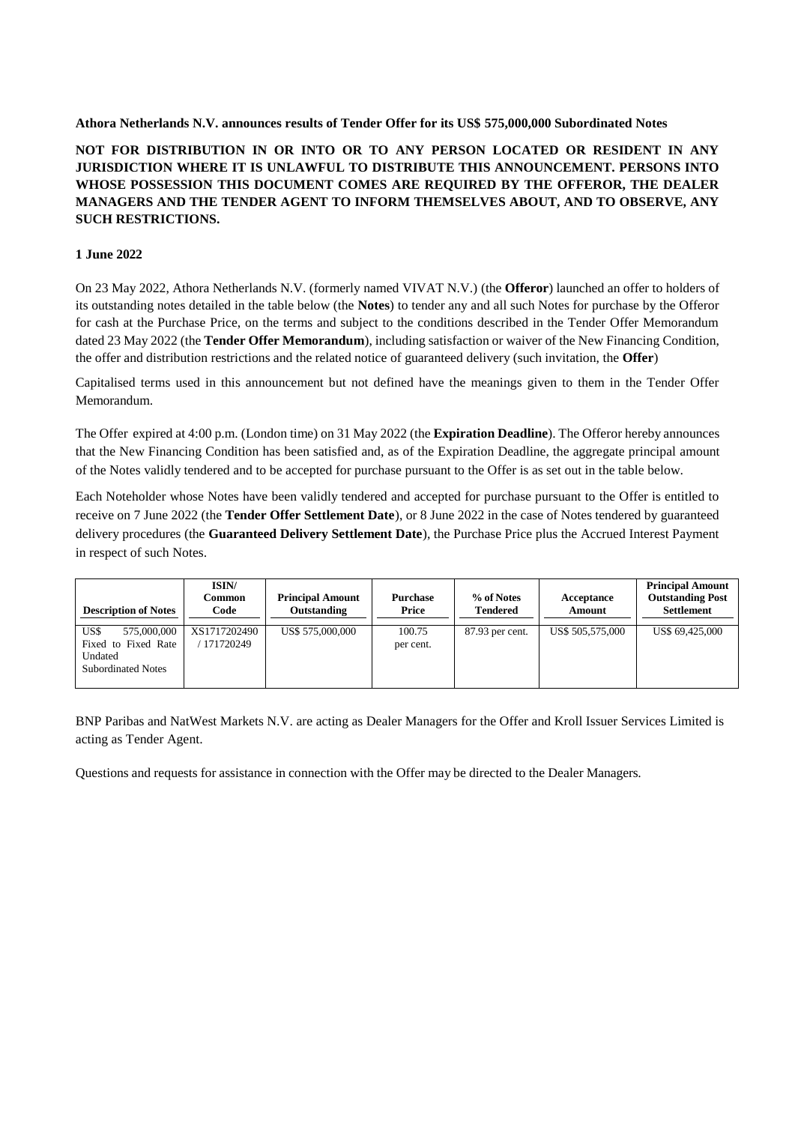## **Athora Netherlands N.V. announces results of Tender Offer for its US\$ 575,000,000 Subordinated Notes**

# **NOT FOR DISTRIBUTION IN OR INTO OR TO ANY PERSON LOCATED OR RESIDENT IN ANY JURISDICTION WHERE IT IS UNLAWFUL TO DISTRIBUTE THIS ANNOUNCEMENT. PERSONS INTO WHOSE POSSESSION THIS DOCUMENT COMES ARE REQUIRED BY THE OFFEROR, THE DEALER MANAGERS AND THE TENDER AGENT TO INFORM THEMSELVES ABOUT, AND TO OBSERVE, ANY SUCH RESTRICTIONS.**

# **1 June 2022**

On 23 May 2022, Athora Netherlands N.V. (formerly named VIVAT N.V.) (the **Offeror**) launched an offer to holders of its outstanding notes detailed in the table below (the **Notes**) to tender any and all such Notes for purchase by the Offeror for cash at the Purchase Price, on the terms and subject to the conditions described in the Tender Offer Memorandum dated 23 May 2022 (the **Tender Offer Memorandum**), including satisfaction or waiver of the New Financing Condition, the offer and distribution restrictions and the related notice of guaranteed delivery (such invitation, the **Offer**)

Capitalised terms used in this announcement but not defined have the meanings given to them in the Tender Offer Memorandum.

The Offer expired at 4:00 p.m. (London time) on 31 May 2022 (the **Expiration Deadline**). The Offeror hereby announces that the New Financing Condition has been satisfied and, as of the Expiration Deadline, the aggregate principal amount of the Notes validly tendered and to be accepted for purchase pursuant to the Offer is as set out in the table below.

Each Noteholder whose Notes have been validly tendered and accepted for purchase pursuant to the Offer is entitled to receive on 7 June 2022 (the **Tender Offer Settlement Date**), or 8 June 2022 in the case of Notes tendered by guaranteed delivery procedures (the **Guaranteed Delivery Settlement Date**), the Purchase Price plus the Accrued Interest Payment in respect of such Notes.

| <b>Description of Notes</b>                                                        | ISIN/<br>Common<br>Code   | <b>Principal Amount</b><br>Outstanding | <b>Purchase</b><br>Price | % of Notes<br><b>Tendered</b> | Acceptance<br>Amount | <b>Principal Amount</b><br><b>Outstanding Post</b><br><b>Settlement</b> |
|------------------------------------------------------------------------------------|---------------------------|----------------------------------------|--------------------------|-------------------------------|----------------------|-------------------------------------------------------------------------|
| US\$<br>575,000,000<br>Fixed to Fixed Rate<br>Undated<br><b>Subordinated Notes</b> | XS1717202490<br>171720249 | US\$ 575,000,000                       | 100.75<br>per cent.      | 87.93 per cent.               | US\$ 505,575,000     | US\$ 69,425,000                                                         |

BNP Paribas and NatWest Markets N.V. are acting as Dealer Managers for the Offer and Kroll Issuer Services Limited is acting as Tender Agent.

Questions and requests for assistance in connection with the Offer may be directed to the Dealer Managers.